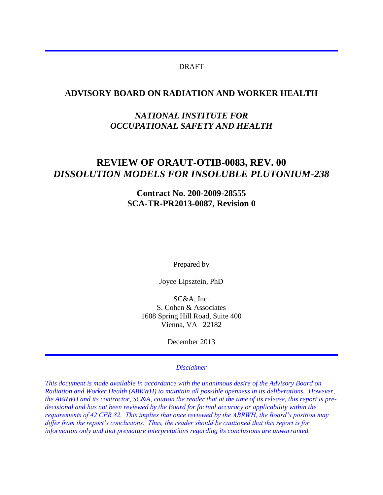#### DRAFT

#### **ADVISORY BOARD ON RADIATION AND WORKER HEALTH**

## *NATIONAL INSTITUTE FOR OCCUPATIONAL SAFETY AND HEALTH*

# **REVIEW OF ORAUT-OTIB-0083, REV. 00**  *DISSOLUTION MODELS FOR INSOLUBLE PLUTONIUM-238*

#### **Contract No. 200-2009-28555 SCA-TR-PR2013-0087, Revision 0**

Prepared by

Joyce Lipsztein, PhD

SC&A, Inc. S. Cohen & Associates 1608 Spring Hill Road, Suite 400 Vienna, VA 22182

December 2013

#### *Disclaimer*

*This document is made available in accordance with the unanimous desire of the Advisory Board on Radiation and Worker Health (ABRWH) to maintain all possible openness in its deliberations. However, the ABRWH and its contractor, SC&A, caution the reader that at the time of its release, this report is predecisional and has not been reviewed by the Board for factual accuracy or applicability within the requirements of 42 CFR 82. This implies that once reviewed by the ABRWH, the Board's position may differ from the report's conclusions. Thus, the reader should be cautioned that this report is for information only and that premature interpretations regarding its conclusions are unwarranted.*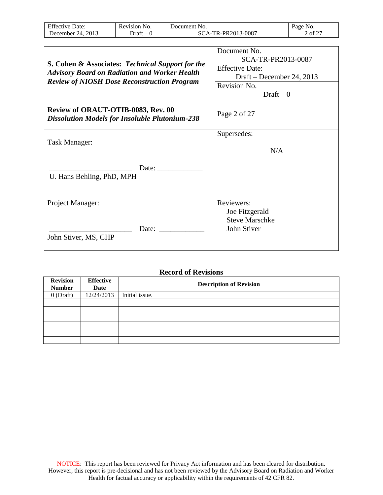| <b>Effective Date:</b>                                                                                   | Revision No. | Document No. |                                      | Page No. |
|----------------------------------------------------------------------------------------------------------|--------------|--------------|--------------------------------------|----------|
| December 24, 2013                                                                                        | $Draft-0$    |              | SCA-TR-PR2013-0087                   | 2 of 27  |
|                                                                                                          |              |              |                                      |          |
|                                                                                                          |              |              | Document No.                         |          |
| S. Cohen & Associates: Technical Support for the<br><b>Advisory Board on Radiation and Worker Health</b> |              |              | SCA-TR-PR2013-0087                   |          |
|                                                                                                          |              |              | <b>Effective Date:</b>               |          |
|                                                                                                          |              |              | Draft – December 24, 2013            |          |
| <b>Review of NIOSH Dose Reconstruction Program</b>                                                       |              |              | Revision No.                         |          |
|                                                                                                          |              |              | $Draft-0$                            |          |
| Review of ORAUT-OTIB-0083, Rev. 00<br><b>Dissolution Models for Insoluble Plutonium-238</b>              |              |              | Page 2 of 27                         |          |
|                                                                                                          |              |              | Supersedes:                          |          |
| Task Manager:                                                                                            |              |              |                                      |          |
|                                                                                                          |              |              | N/A                                  |          |
| U. Hans Behling, PhD, MPH                                                                                |              | Date:        |                                      |          |
| Project Manager:                                                                                         |              |              | Reviewers:<br>Joe Fitzgerald         |          |
| John Stiver, MS, CHP                                                                                     | Date:        |              | <b>Steve Marschke</b><br>John Stiver |          |

#### **Record of Revisions**

| <b>Revision</b><br><b>Number</b> | <b>Effective</b><br>Date | <b>Description of Revision</b> |
|----------------------------------|--------------------------|--------------------------------|
| $0$ (Draft)                      | 12/24/2013               | Initial issue.                 |
|                                  |                          |                                |
|                                  |                          |                                |
|                                  |                          |                                |
|                                  |                          |                                |
|                                  |                          |                                |
|                                  |                          |                                |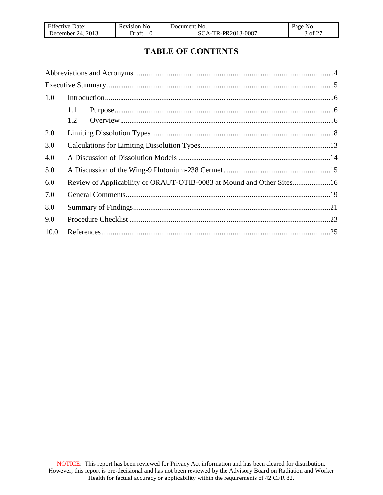| <b>Effective Date:</b> | Revision No. | Document No.       | Page No. |
|------------------------|--------------|--------------------|----------|
| December 24, $2013$    | $Draff - P$  | SCA-TR-PR2013-0087 | 3 of 27  |

# **TABLE OF CONTENTS**

| 1.0  |     |  |
|------|-----|--|
|      | 1.1 |  |
|      | 1.2 |  |
| 2.0  |     |  |
| 3.0  |     |  |
| 4.0  |     |  |
| 5.0  |     |  |
| 6.0  |     |  |
| 7.0  |     |  |
| 8.0  |     |  |
| 9.0  |     |  |
| 10.0 |     |  |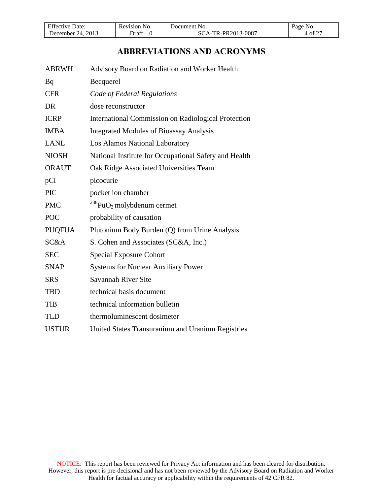| <b>Effective Date:</b> | Revision No. | Document No.       | Page No. |
|------------------------|--------------|--------------------|----------|
| December 24, $2013$    | -Oraft – 0   | SCA-TR-PR2013-0087 | 4 of 27  |

# **ABBREVIATIONS AND ACRONYMS**

<span id="page-3-0"></span>

| <b>ABRWH</b>  | Advisory Board on Radiation and Worker Health              |
|---------------|------------------------------------------------------------|
| Bq            | Becquerel                                                  |
| <b>CFR</b>    | Code of Federal Regulations                                |
| <b>DR</b>     | dose reconstructor                                         |
| <b>ICRP</b>   | <b>International Commission on Radiological Protection</b> |
| <b>IMBA</b>   | <b>Integrated Modules of Bioassay Analysis</b>             |
| <b>LANL</b>   | Los Alamos National Laboratory                             |
| <b>NIOSH</b>  | National Institute for Occupational Safety and Health      |
| <b>ORAUT</b>  | Oak Ridge Associated Universities Team                     |
| pCi           | picocurie                                                  |
| <b>PIC</b>    | pocket ion chamber                                         |
| <b>PMC</b>    | $^{238}$ PuO <sub>2</sub> molybdenum cermet                |
| <b>POC</b>    | probability of causation                                   |
| <b>PUQFUA</b> | Plutonium Body Burden (Q) from Urine Analysis              |
| SC&A          | S. Cohen and Associates (SC&A, Inc.)                       |
| <b>SEC</b>    | <b>Special Exposure Cohort</b>                             |
| <b>SNAP</b>   | <b>Systems for Nuclear Auxiliary Power</b>                 |
| <b>SRS</b>    | Savannah River Site                                        |
| <b>TBD</b>    | technical basis document                                   |
| <b>TIB</b>    | technical information bulletin                             |
| <b>TLD</b>    | thermoluminescent dosimeter                                |
| <b>USTUR</b>  | United States Transuranium and Uranium Registries          |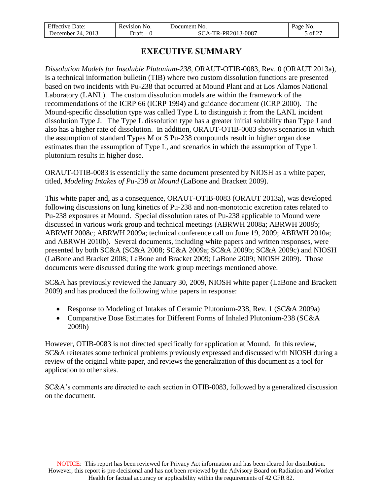| F C<br>1VP<br>-bate<br>-effe. | Revision<br>N <sub>O</sub>        | ' Jocument<br>NO                    | י ∩ פי<br>NO.              |
|-------------------------------|-----------------------------------|-------------------------------------|----------------------------|
| 2013<br>2Δ<br>mber<br>Jecem   | Jraft<br>$\overline{\phantom{a}}$ | 3-0087<br>DD.<br>י ז<br>7 I J<br>п. | $\sim$ $\sim$ $\sim$<br>ΩŤ |

# **EXECUTIVE SUMMARY**

<span id="page-4-0"></span>*Dissolution Models for Insoluble Plutonium-238*, ORAUT-OTIB-0083, Rev. 0 (ORAUT 2013a), is a technical information bulletin (TIB) where two custom dissolution functions are presented based on two incidents with Pu-238 that occurred at Mound Plant and at Los Alamos National Laboratory (LANL). The custom dissolution models are within the framework of the recommendations of the ICRP 66 (ICRP 1994) and guidance document (ICRP 2000). The Mound-specific dissolution type was called Type L to distinguish it from the LANL incident dissolution Type J. The Type L dissolution type has a greater initial solubility than Type J and also has a higher rate of dissolution. In addition, ORAUT-OTIB-0083 shows scenarios in which the assumption of standard Types M or S Pu-238 compounds result in higher organ dose estimates than the assumption of Type L, and scenarios in which the assumption of Type L plutonium results in higher dose.

ORAUT-OTIB-0083 is essentially the same document presented by NIOSH as a white paper, titled, *Modeling Intakes of Pu-238 at Mound* (LaBone and Brackett 2009).

This white paper and, as a consequence, ORAUT-OTIB-0083 (ORAUT 2013a), was developed following discussions on lung kinetics of Pu-238 and non-monotonic excretion rates related to Pu-238 exposures at Mound. Special dissolution rates of Pu-238 applicable to Mound were discussed in various work group and technical meetings (ABRWH 2008a; ABRWH 2008b; ABRWH 2008c; ABRWH 2009a; technical conference call on June 19, 2009; ABRWH 2010a; and ABRWH 2010b). Several documents, including white papers and written responses, were presented by both SC&A (SC&A 2008; SC&A 2009a; SC&A 2009b; SC&A 2009c) and NIOSH (LaBone and Bracket 2008; LaBone and Bracket 2009; LaBone 2009; NIOSH 2009). Those documents were discussed during the work group meetings mentioned above.

SC&A has previously reviewed the January 30, 2009, NIOSH white paper (LaBone and Brackett 2009) and has produced the following white papers in response:

- Response to Modeling of Intakes of Ceramic Plutonium-238, Rev. 1 (SC&A 2009a)
- Comparative Dose Estimates for Different Forms of Inhaled Plutonium-238 (SC&A 2009b)

However, OTIB-0083 is not directed specifically for application at Mound. In this review, SC&A reiterates some technical problems previously expressed and discussed with NIOSH during a review of the original white paper, and reviews the generalization of this document as a tool for application to other sites.

SC&A's comments are directed to each section in OTIB-0083, followed by a generalized discussion on the document.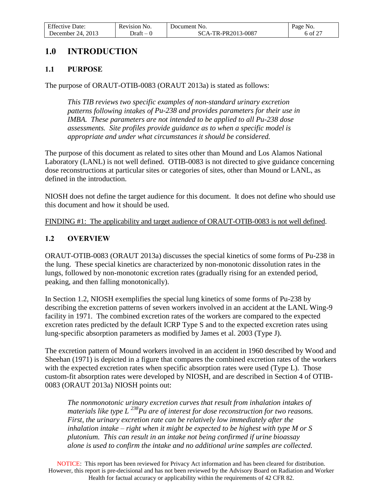| <b>Effective Date:</b>    | Revision No. | 'Jocument No.      | Page No. |
|---------------------------|--------------|--------------------|----------|
| 2013<br>24.<br>December 1 | - Jraft      | SCA-TR-PR2013-0087 | 6 of 27  |

## <span id="page-5-0"></span>**1.0 INTRODUCTION**

#### <span id="page-5-1"></span>**1.1 PURPOSE**

The purpose of ORAUT-OTIB-0083 (ORAUT 2013a) is stated as follows:

*This TIB reviews two specific examples of non-standard urinary excretion patterns following intakes of Pu-238 and provides parameters for their use in IMBA. These parameters are not intended to be applied to all Pu-238 dose assessments. Site profiles provide guidance as to when a specific model is appropriate and under what circumstances it should be considered.*

The purpose of this document as related to sites other than Mound and Los Alamos National Laboratory (LANL) is not well defined. OTIB-0083 is not directed to give guidance concerning dose reconstructions at particular sites or categories of sites, other than Mound or LANL, as defined in the introduction.

NIOSH does not define the target audience for this document. It does not define who should use this document and how it should be used.

FINDING #1: The applicability and target audience of ORAUT-OTIB-0083 is not well defined.

#### <span id="page-5-2"></span>**1.2 OVERVIEW**

ORAUT-OTIB-0083 (ORAUT 2013a) discusses the special kinetics of some forms of Pu-238 in the lung. These special kinetics are characterized by non-monotonic dissolution rates in the lungs, followed by non-monotonic excretion rates (gradually rising for an extended period, peaking, and then falling monotonically).

In Section 1.2, NIOSH exemplifies the special lung kinetics of some forms of Pu-238 by describing the excretion patterns of seven workers involved in an accident at the LANL Wing-9 facility in 1971. The combined excretion rates of the workers are compared to the expected excretion rates predicted by the default ICRP Type S and to the expected excretion rates using lung-specific absorption parameters as modified by James et al. 2003 (Type J).

The excretion pattern of Mound workers involved in an accident in 1960 described by Wood and Sheehan (1971) is depicted in a figure that compares the combined excretion rates of the workers with the expected excretion rates when specific absorption rates were used (Type L). Those custom-fit absorption rates were developed by NIOSH, and are described in Section 4 of OTIB-0083 (ORAUT 2013a) NIOSH points out:

*The nonmonotonic urinary excretion curves that result from inhalation intakes of materials like type L <sup>238</sup>Pu are of interest for dose reconstruction for two reasons. First, the urinary excretion rate can be relatively low immediately after the inhalation intake – right when it might be expected to be highest with type M or S plutonium. This can result in an intake not being confirmed if urine bioassay alone is used to confirm the intake and no additional urine samples are collected.* 

NOTICE: This report has been reviewed for Privacy Act information and has been cleared for distribution. However, this report is pre-decisional and has not been reviewed by the Advisory Board on Radiation and Worker Health for factual accuracy or applicability within the requirements of 42 CFR 82.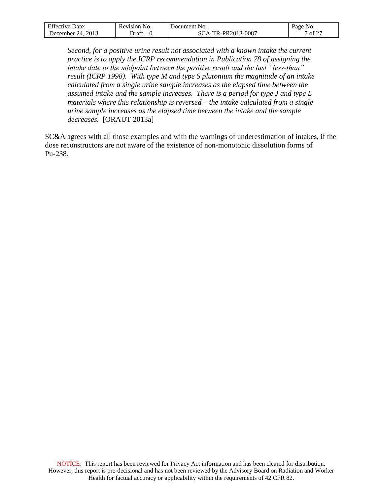| Effective              | No.      | Document No.            | Page                                  |
|------------------------|----------|-------------------------|---------------------------------------|
| Date:                  | Revision |                         | NO.                                   |
| 2013<br>December<br>24 | - Jraft  | -TR-PR2013-0087<br>$-1$ | $\sim \sim$<br>$'$ Of $\mathcal{Z}$ . |

Second, for a positive urine result not associated with a known intake the current *practice is to apply the ICRP recommendation in Publication 78 of assigning the intake date to the midpoint between the positive result and the last "less-than" result (ICRP 1998). With type M and type S plutonium the magnitude of an intake calculated from a single urine sample increases as the elapsed time between the assumed intake and the sample increases. There is a period for type J and type L materials where this relationship is reversed – the intake calculated from a single urine sample increases as the elapsed time between the intake and the sample decreases.* [ORAUT 2013a]

SC&A agrees with all those examples and with the warnings of underestimation of intakes, if the dose reconstructors are not aware of the existence of non-monotonic dissolution forms of Pu-238.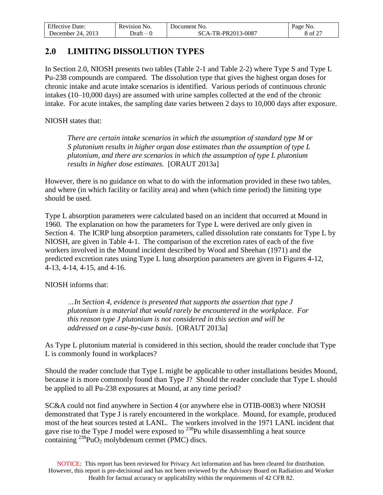| $F^{\alpha}$<br>Jate:<br>'1Ve               | Revision<br>N <sub>O</sub> .      | 'Jocument No. | Page<br>NO.                      |
|---------------------------------------------|-----------------------------------|---------------|----------------------------------|
| 2013<br>$^{\prime}$ $^{\prime}$<br>Jecember | Jraft<br>$\overline{\phantom{a}}$ | R-PR2013-0087 | $\sim$ $\sim$ $\sim$<br>$\Omega$ |

### <span id="page-7-0"></span>**2.0 LIMITING DISSOLUTION TYPES**

In Section 2.0, NIOSH presents two tables (Table 2-1 and Table 2-2) where Type S and Type L Pu-238 compounds are compared. The dissolution type that gives the highest organ doses for chronic intake and acute intake scenarios is identified. Various periods of continuous chronic intakes (10–10,000 days) are assumed with urine samples collected at the end of the chronic intake. For acute intakes, the sampling date varies between 2 days to 10,000 days after exposure.

NIOSH states that:

*There are certain intake scenarios in which the assumption of standard type M or S plutonium results in higher organ dose estimates than the assumption of type L plutonium, and there are scenarios in which the assumption of type L plutonium results in higher dose estimates.* [ORAUT 2013a]

However, there is no guidance on what to do with the information provided in these two tables, and where (in which facility or facility area) and when (which time period) the limiting type should be used.

Type L absorption parameters were calculated based on an incident that occurred at Mound in 1960. The explanation on how the parameters for Type L were derived are only given in Section 4. The ICRP lung absorption parameters, called dissolution rate constants for Type L by NIOSH, are given in Table 4-1. The comparison of the excretion rates of each of the five workers involved in the Mound incident described by Wood and Sheehan (1971) and the predicted excretion rates using Type L lung absorption parameters are given in Figures 4-12, 4-13, 4-14, 4-15, and 4-16.

NIOSH informs that:

*…In Section 4, evidence is presented that supports the assertion that type J plutonium is a material that would rarely be encountered in the workplace. For this reason type J plutonium is not considered in this section and will be addressed on a case-by-case basis.* [ORAUT 2013a]

As Type L plutonium material is considered in this section, should the reader conclude that Type L is commonly found in workplaces?

Should the reader conclude that Type L might be applicable to other installations besides Mound, because it is more commonly found than Type J? Should the reader conclude that Type L should be applied to all Pu-238 exposures at Mound, at any time period?

SC&A could not find anywhere in Section 4 (or anywhere else in OTIB-0083) where NIOSH demonstrated that Type J is rarely encountered in the workplace. Mound, for example, produced most of the heat sources tested at LANL. The workers involved in the 1971 LANL incident that gave rise to the Type J model were exposed to  $^{238}$ Pu while disassembling a heat source containing  $^{238}PuO_2$  molybdenum cermet (PMC) discs.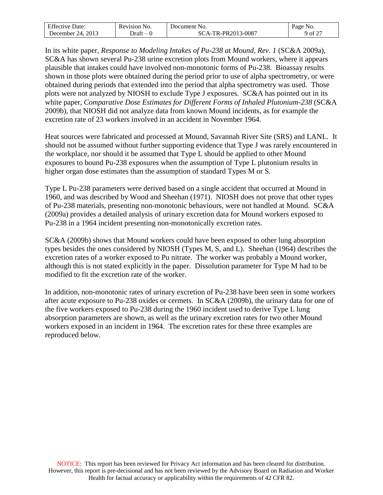| F C<br>Jate:<br>ле     | ∽<br>Revision<br>N <sub>O</sub>   | Jocument<br>NO.              | Ряое<br>'NO.                        |
|------------------------|-----------------------------------|------------------------------|-------------------------------------|
| 2013<br>74<br>December | ת raf<br>$\overline{\phantom{a}}$ | $3 - 0087$<br>-PR2013<br>TL. | $\sim \sim$<br>ΟĪ<br>$\overline{a}$ |

In its white paper, *Response to Modeling Intakes of Pu-238 at Mound, Rev. 1* (SC&A 2009a), SC&A has shown several Pu-238 urine excretion plots from Mound workers, where it appears plausible that intakes could have involved non-monotonic forms of Pu-238. Bioassay results shown in those plots were obtained during the period prior to use of alpha spectrometry, or were obtained during periods that extended into the period that alpha spectrometry was used. Those plots were not analyzed by NIOSH to exclude Type J exposures. SC&A has pointed out in its white paper, *Comparative Dose Estimates for Different Forms of Inhaled Plutonium-238* (SC&A 2009b), that NIOSH did not analyze data from known Mound incidents, as for example the excretion rate of 23 workers involved in an accident in November 1964.

Heat sources were fabricated and processed at Mound, Savannah River Site (SRS) and LANL. It should not be assumed without further supporting evidence that Type J was rarely encountered in the workplace, nor should it be assumed that Type L should be applied to other Mound exposures to bound Pu-238 exposures when the assumption of Type L plutonium results in higher organ dose estimates than the assumption of standard Types M or S.

Type L Pu-238 parameters were derived based on a single accident that occurred at Mound in 1960, and was described by Wood and Sheehan (1971). NIOSH does not prove that other types of Pu-238 materials, presenting non-monotonic behaviours, were not handled at Mound. SC&A (2009a) provides a detailed analysis of urinary excretion data for Mound workers exposed to Pu-238 in a 1964 incident presenting non-monotonically excretion rates.

SC&A (2009b) shows that Mound workers could have been exposed to other lung absorption types besides the ones considered by NIOSH (Types M, S, and L). Sheehan (1964) describes the excretion rates of a worker exposed to Pu nitrate. The worker was probably a Mound worker, although this is not stated explicitly in the paper. Dissolution parameter for Type M had to be modified to fit the excretion rate of the worker.

In addition, non-monotonic rates of urinary excretion of Pu-238 have been seen in some workers after acute exposure to Pu-238 oxides or cermets. In SC&A (2009b), the urinary data for one of the five workers exposed to Pu-238 during the 1960 incident used to derive Type L lung absorption parameters are shown, as well as the urinary excretion rates for two other Mound workers exposed in an incident in 1964. The excretion rates for these three examples are reproduced below.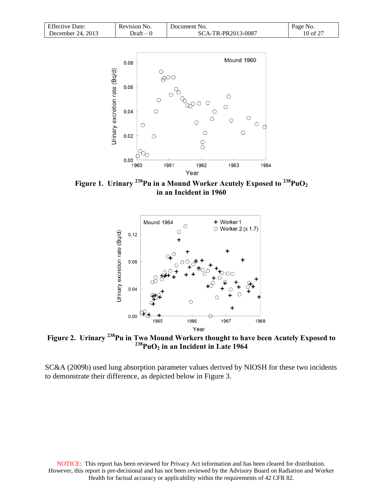| <b>Effective Date:</b> | Revision No. | Document No.       | Page No. |
|------------------------|--------------|--------------------|----------|
| December 24, $2013$    | Draft – 0    | SCA-TR-PR2013-0087 | 10 of 27 |



**Figure 1. Urinary <sup>238</sup>Pu in a Mound Worker Acutely Exposed to <sup>238</sup>PuO<sup>2</sup> in an Incident in 1960** 



**Figure 2. Urinary <sup>238</sup>Pu in Two Mound Workers thought to have been Acutely Exposed to <sup>238</sup>PuO<sup>2</sup> in an Incident in Late 1964**

SC&A (2009b) used lung absorption parameter values derived by NIOSH for these two incidents to demonstrate their difference, as depicted below in Figure 3.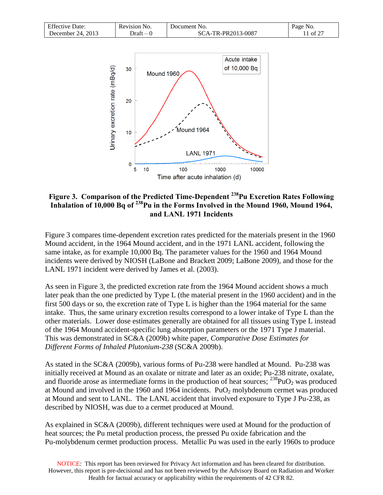| <b>Effective Date:</b> | Revision No. | Document No.       | Page No. |
|------------------------|--------------|--------------------|----------|
| December 24, $2013$    | Draft – 0    | SCA-TR-PR2013-0087 | 1 of 27  |



#### **Figure 3. Comparison of the Predicted Time-Dependent <sup>238</sup>Pu Excretion Rates Following Inhalation of 10,000 Bq of <sup>238</sup>Pu in the Forms Involved in the Mound 1960, Mound 1964, and LANL 1971 Incidents**

Figure 3 compares time-dependent excretion rates predicted for the materials present in the 1960 Mound accident, in the 1964 Mound accident, and in the 1971 LANL accident, following the same intake, as for example 10,000 Bq. The parameter values for the 1960 and 1964 Mound incidents were derived by NIOSH (LaBone and Brackett 2009; LaBone 2009), and those for the LANL 1971 incident were derived by James et al. (2003).

As seen in Figure 3, the predicted excretion rate from the 1964 Mound accident shows a much later peak than the one predicted by Type L (the material present in the 1960 accident) and in the first 500 days or so, the excretion rate of Type L is higher than the 1964 material for the same intake. Thus, the same urinary excretion results correspond to a lower intake of Type L than the other materials. Lower dose estimates generally are obtained for all tissues using Type L instead of the 1964 Mound accident-specific lung absorption parameters or the 1971 Type J material. This was demonstrated in SC&A (2009b) white paper, *Comparative Dose Estimates for Different Forms of Inhaled Plutonium-238* (SC&A 2009b).

As stated in the SC&A (2009b), various forms of Pu-238 were handled at Mound. Pu-238 was initially received at Mound as an oxalate or nitrate and later as an oxide; Pu-238 nitrate, oxalate, and fluoride arose as intermediate forms in the production of heat sources;  $^{238}PuO_2$  was produced at Mound and involved in the 1960 and 1964 incidents.  $PuO<sub>2</sub>$  molybdenum cermet was produced at Mound and sent to LANL. The LANL accident that involved exposure to Type J Pu-238, as described by NIOSH, was due to a cermet produced at Mound.

As explained in SC&A (2009b), different techniques were used at Mound for the production of heat sources; the Pu metal production process, the pressed Pu oxide fabrication and the Pu-molybdenum cermet production process. Metallic Pu was used in the early 1960s to produce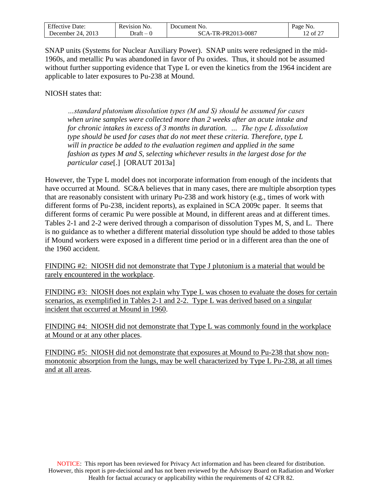| $F^{\alpha}$<br>Date:<br>Effective | Revision<br>N <sub>O</sub> | Jocument<br>N <sub>O</sub>                | Page<br>INO. |
|------------------------------------|----------------------------|-------------------------------------------|--------------|
| 2013<br>24.<br>December            | - Jraft                    | $3 - 008^{-}$<br>TR-PR2013-<br>$\Delta$ - | of $2^7$     |

SNAP units (Systems for Nuclear Auxiliary Power). SNAP units were redesigned in the mid-1960s, and metallic Pu was abandoned in favor of Pu oxides. Thus, it should not be assumed without further supporting evidence that Type L or even the kinetics from the 1964 incident are applicable to later exposures to Pu-238 at Mound.

NIOSH states that:

*…standard plutonium dissolution types (M and S) should be assumed for cases when urine samples were collected more than 2 weeks after an acute intake and for chronic intakes in excess of 3 months in duration. … The type L dissolution type should be used for cases that do not meet these criteria. Therefore, type L will in practice be added to the evaluation regimen and applied in the same fashion as types M and S, selecting whichever results in the largest dose for the particular case*[.] [ORAUT 2013a]

However, the Type L model does not incorporate information from enough of the incidents that have occurred at Mound. SC&A believes that in many cases, there are multiple absorption types that are reasonably consistent with urinary Pu-238 and work history (e.g., times of work with different forms of Pu-238, incident reports), as explained in SCA 2009c paper. It seems that different forms of ceramic Pu were possible at Mound, in different areas and at different times. Tables 2-1 and 2-2 were derived through a comparison of dissolution Types M, S, and L. There is no guidance as to whether a different material dissolution type should be added to those tables if Mound workers were exposed in a different time period or in a different area than the one of the 1960 accident.

FINDING #2: NIOSH did not demonstrate that Type J plutonium is a material that would be rarely encountered in the workplace.

FINDING #3: NIOSH does not explain why Type L was chosen to evaluate the doses for certain scenarios, as exemplified in Tables 2-1 and 2-2. Type L was derived based on a singular incident that occurred at Mound in 1960.

FINDING #4: NIOSH did not demonstrate that Type L was commonly found in the workplace at Mound or at any other places.

FINDING #5: NIOSH did not demonstrate that exposures at Mound to Pu-238 that show nonmonotonic absorption from the lungs, may be well characterized by Type L Pu-238, at all times and at all areas.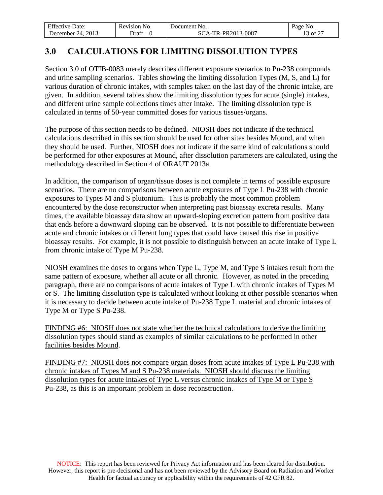| r cc.                  | Revision | Document No.               | Page                       |
|------------------------|----------|----------------------------|----------------------------|
| Effective Date:        | 'NO.     |                            | NO.                        |
| 2013<br>74<br>Jecember | - Jraft  | TR-PR2013-0087<br>$A_{-1}$ | $.5 \text{ of } 2^{\circ}$ |

## <span id="page-12-0"></span>**3.0 CALCULATIONS FOR LIMITING DISSOLUTION TYPES**

Section 3.0 of OTIB-0083 merely describes different exposure scenarios to Pu-238 compounds and urine sampling scenarios. Tables showing the limiting dissolution Types (M, S, and L) for various duration of chronic intakes, with samples taken on the last day of the chronic intake, are given. In addition, several tables show the limiting dissolution types for acute (single) intakes, and different urine sample collections times after intake. The limiting dissolution type is calculated in terms of 50-year committed doses for various tissues/organs.

The purpose of this section needs to be defined. NIOSH does not indicate if the technical calculations described in this section should be used for other sites besides Mound, and when they should be used. Further, NIOSH does not indicate if the same kind of calculations should be performed for other exposures at Mound, after dissolution parameters are calculated, using the methodology described in Section 4 of ORAUT 2013a.

In addition, the comparison of organ/tissue doses is not complete in terms of possible exposure scenarios. There are no comparisons between acute exposures of Type L Pu-238 with chronic exposures to Types M and S plutonium. This is probably the most common problem encountered by the dose reconstructor when interpreting past bioassay excreta results. Many times, the available bioassay data show an upward-sloping excretion pattern from positive data that ends before a downward sloping can be observed. It is not possible to differentiate between acute and chronic intakes or different lung types that could have caused this rise in positive bioassay results. For example, it is not possible to distinguish between an acute intake of Type L from chronic intake of Type M Pu-238.

NIOSH examines the doses to organs when Type L, Type M, and Type S intakes result from the same pattern of exposure, whether all acute or all chronic. However, as noted in the preceding paragraph, there are no comparisons of acute intakes of Type L with chronic intakes of Types M or S. The limiting dissolution type is calculated without looking at other possible scenarios when it is necessary to decide between acute intake of Pu-238 Type L material and chronic intakes of Type M or Type S Pu-238.

FINDING #6: NIOSH does not state whether the technical calculations to derive the limiting dissolution types should stand as examples of similar calculations to be performed in other facilities besides Mound.

FINDING #7: NIOSH does not compare organ doses from acute intakes of Type L Pu-238 with chronic intakes of Types M and S Pu-238 materials. NIOSH should discuss the limiting dissolution types for acute intakes of Type L versus chronic intakes of Type M or Type S Pu-238, as this is an important problem in dose reconstruction.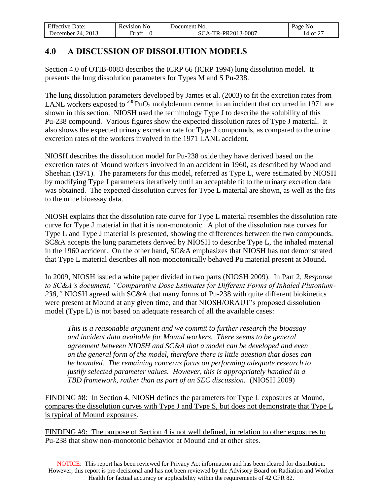| <b>Effective Date:</b>   | <b>Revision</b><br>NO. | Document No.                   | Page No.       |
|--------------------------|------------------------|--------------------------------|----------------|
| 2013<br>24<br>December ' | - Jraft                | TR-PR2013-0087-<br>$A \cdot A$ | of $2^7$<br>14 |

## <span id="page-13-0"></span>**4.0 A DISCUSSION OF DISSOLUTION MODELS**

Section 4.0 of OTIB-0083 describes the ICRP 66 (ICRP 1994) lung dissolution model. It presents the lung dissolution parameters for Types M and S Pu-238.

The lung dissolution parameters developed by James et al. (2003) to fit the excretion rates from LANL workers exposed to  $^{238}PuO_2$  molybdenum cermet in an incident that occurred in 1971 are shown in this section. NIOSH used the terminology Type J to describe the solubility of this Pu-238 compound. Various figures show the expected dissolution rates of Type J material. It also shows the expected urinary excretion rate for Type J compounds, as compared to the urine excretion rates of the workers involved in the 1971 LANL accident.

NIOSH describes the dissolution model for Pu-238 oxide they have derived based on the excretion rates of Mound workers involved in an accident in 1960, as described by Wood and Sheehan (1971). The parameters for this model, referred as Type L, were estimated by NIOSH by modifying Type J parameters iteratively until an acceptable fit to the urinary excretion data was obtained. The expected dissolution curves for Type L material are shown, as well as the fits to the urine bioassay data.

NIOSH explains that the dissolution rate curve for Type L material resembles the dissolution rate curve for Type J material in that it is non-monotonic. A plot of the dissolution rate curves for Type L and Type J material is presented, showing the differences between the two compounds. SC&A accepts the lung parameters derived by NIOSH to describe Type L, the inhaled material in the 1960 accident. On the other hand, SC&A emphasizes that NIOSH has not demonstrated that Type L material describes all non-monotonically behaved Pu material present at Mound.

In 2009, NIOSH issued a white paper divided in two parts (NIOSH 2009). In Part 2, *Response to SC&A's document, "Comparative Dose Estimates for Different Forms of Inhaled Plutonium-238,"* NIOSH agreed with SC&A that many forms of Pu-238 with quite different biokinetics were present at Mound at any given time, and that NIOSH/ORAUT's proposed dissolution model (Type L) is not based on adequate research of all the available cases:

*This is a reasonable argument and we commit to further research the bioassay and incident data available for Mound workers. There seems to be general agreement between NIOSH and SC&A that a model can be developed and even on the general form of the model, therefore there is little question that doses can be bounded. The remaining concerns focus on performing adequate research to justify selected parameter values. However, this is appropriately handled in a TBD framework, rather than as part of an SEC discussion.* (NIOSH 2009)

FINDING #8: In Section 4, NIOSH defines the parameters for Type L exposures at Mound, compares the dissolution curves with Type J and Type S, but does not demonstrate that Type L is typical of Mound exposures.

FINDING #9: The purpose of Section 4 is not well defined, in relation to other exposures to Pu-238 that show non-monotonic behavior at Mound and at other sites.

NOTICE: This report has been reviewed for Privacy Act information and has been cleared for distribution. However, this report is pre-decisional and has not been reviewed by the Advisory Board on Radiation and Worker Health for factual accuracy or applicability within the requirements of 42 CFR 82.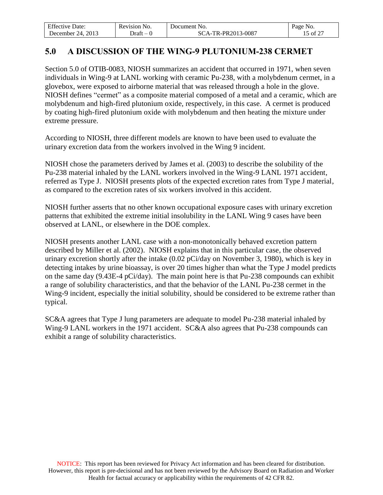| r cc.                  | Revision | Document No.            | Page                        |
|------------------------|----------|-------------------------|-----------------------------|
| Effective Date:        | 'NO.     |                         | NO.                         |
| 2013<br>74<br>Jecember | - Jraft  | TR-PR2013-0087<br>$A$ . | $\therefore$ of $2^{\circ}$ |

### <span id="page-14-0"></span>**5.0 A DISCUSSION OF THE WING-9 PLUTONIUM-238 CERMET**

Section 5.0 of OTIB-0083, NIOSH summarizes an accident that occurred in 1971, when seven individuals in Wing-9 at LANL working with ceramic Pu-238, with a molybdenum cermet, in a glovebox, were exposed to airborne material that was released through a hole in the glove. NIOSH defines "cermet" as a composite material composed of a metal and a ceramic, which are molybdenum and high-fired plutonium oxide, respectively, in this case. A cermet is produced by coating high-fired plutonium oxide with molybdenum and then heating the mixture under extreme pressure.

According to NIOSH, three different models are known to have been used to evaluate the urinary excretion data from the workers involved in the Wing 9 incident.

NIOSH chose the parameters derived by James et al. (2003) to describe the solubility of the Pu-238 material inhaled by the LANL workers involved in the Wing-9 LANL 1971 accident, referred as Type J. NIOSH presents plots of the expected excretion rates from Type J material, as compared to the excretion rates of six workers involved in this accident.

NIOSH further asserts that no other known occupational exposure cases with urinary excretion patterns that exhibited the extreme initial insolubility in the LANL Wing 9 cases have been observed at LANL, or elsewhere in the DOE complex.

NIOSH presents another LANL case with a non-monotonically behaved excretion pattern described by Miller et al. (2002). NIOSH explains that in this particular case, the observed urinary excretion shortly after the intake (0.02 pCi/day on November 3, 1980), which is key in detecting intakes by urine bioassay, is over 20 times higher than what the Type J model predicts on the same day (9.43E-4 pCi/day). The main point here is that Pu-238 compounds can exhibit a range of solubility characteristics, and that the behavior of the LANL Pu-238 cermet in the Wing-9 incident, especially the initial solubility, should be considered to be extreme rather than typical.

SC&A agrees that Type J lung parameters are adequate to model Pu-238 material inhaled by Wing-9 LANL workers in the 1971 accident. SC&A also agrees that Pu-238 compounds can exhibit a range of solubility characteristics.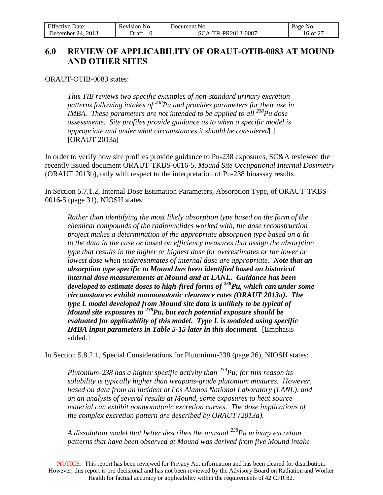| <b>Effective Date:</b>   | Revision No. | Document No.      | Page<br>N <sub>O</sub> .         |
|--------------------------|--------------|-------------------|----------------------------------|
| 2013<br>74<br>December : | - Jraft      | CA-TR-PR2013-0087 | $c \wedge r$<br>of 2<br>$\sigma$ |

### <span id="page-15-0"></span>**6.0 REVIEW OF APPLICABILITY OF ORAUT-OTIB-0083 AT MOUND AND OTHER SITES**

ORAUT-OTIB-0083 states:

*This TIB reviews two specific examples of non-standard urinary excretion patterns following intakes of <sup>238</sup>Pu and provides parameters for their use in IMBA. These parameters are not intended to be applied to all*  $^{238}$ *Pu dose assessments. Site profiles provide guidance as to when a specific model is appropriate and under what circumstances it should be considered*[.] [ORAUT 2013a]

In order to verify how site profiles provide guidance to Pu-238 exposures, SC&A reviewed the recently issued document ORAUT-TKBS-0016-5, *Mound Site Occupational Internal Dosimetry* (ORAUT 2013b), only with respect to the interpretation of Pu-238 bioassay results.

In Section 5.7.1.2, Internal Dose Estimation Parameters, Absorption Type, of ORAUT-TKBS-0016-5 (page 31), NIOSH states:

*Rather than identifying the most likely absorption type based on the form of the chemical compounds of the radionuclides worked with, the dose reconstruction project makes a determination of the appropriate absorption type based on a fit*  to the data in the case or based on efficiency measures that assign the absorption *type that results in the higher or highest dose for overestimates or the lower or lowest dose when underestimates of internal dose are appropriate. Note that an absorption type specific to Mound has been identified based on historical internal dose measurements at Mound and at LANL. Guidance has been developed to estimate doses to high-fired forms of <sup>238</sup>Pu, which can under some circumstances exhibit nonmonotonic clearance rates (ORAUT 2013a). The type L model developed from Mound site data is unlikely to be typical of Mound site exposures to <sup>238</sup>Pu, but each potential exposure should be evaluated for applicability of this model. Type L is modeled using specific IMBA input parameters in Table 5-15 later in this document.* [Emphasis added.]

In Section 5.8.2.1, Special Considerations for Plutonium-238 (page 36), NIOSH states:

*Plutonium-238 has a higher specific activity than <sup>239</sup>Pu; for this reason its solubility is typically higher than weapons-grade plutonium mixtures. However, based on data from an incident at Los Alamos National Laboratory (LANL), and on an analysis of several results at Mound, some exposures to heat source material can exhibit nonmonotonic excretion curves. The dose implications of the complex excretion pattern are described by ORAUT (2013a).*

*A dissolution model that better describes the unusual <sup>238</sup>Pu urinary excretion patterns that have been observed at Mound was derived from five Mound intake* 

NOTICE: This report has been reviewed for Privacy Act information and has been cleared for distribution. However, this report is pre-decisional and has not been reviewed by the Advisory Board on Radiation and Worker Health for factual accuracy or applicability within the requirements of 42 CFR 82.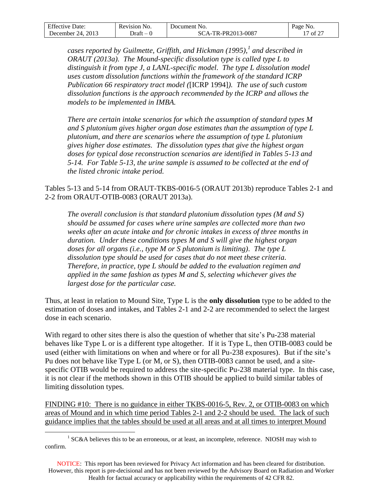| $F^{\alpha}$<br>Date:<br>Effective | Revision<br>NO. | Jocument<br>N <sub>O</sub>          | Page<br>NO.                  |
|------------------------------------|-----------------|-------------------------------------|------------------------------|
| 2013<br>24.<br>Jecember            | Jraft           | $3 - 0087$<br>ົາ013-ເ.<br>DD'<br>'N | $c \wedge r$<br>$\cdot$ of 2 |

*cases reported by Guilmette, Griffith, and Hickman (1995),<sup>1</sup> and described in ORAUT (2013a). The Mound-specific dissolution type is called type L to distinguish it from type J, a LANL-specific model. The type L dissolution model uses custom dissolution functions within the framework of the standard ICRP Publication 66 respiratory tract model (*[ICRP 1994]*). The use of such custom dissolution functions is the approach recommended by the ICRP and allows the models to be implemented in IMBA.*

*There are certain intake scenarios for which the assumption of standard types M and S plutonium gives higher organ dose estimates than the assumption of type L plutonium, and there are scenarios where the assumption of type L plutonium gives higher dose estimates. The dissolution types that give the highest organ doses for typical dose reconstruction scenarios are identified in Tables 5-13 and 5-14. For Table 5-13, the urine sample is assumed to be collected at the end of the listed chronic intake period.*

Tables 5-13 and 5-14 from ORAUT-TKBS-0016-5 (ORAUT 2013b) reproduce Tables 2-1 and 2-2 from ORAUT-OTIB-0083 (ORAUT 2013a).

*The overall conclusion is that standard plutonium dissolution types (M and S) should be assumed for cases where urine samples are collected more than two weeks after an acute intake and for chronic intakes in excess of three months in duration. Under these conditions types M and S will give the highest organ doses for all organs (i.e., type M or S plutonium is limiting). The type L dissolution type should be used for cases that do not meet these criteria. Therefore, in practice, type L should be added to the evaluation regimen and applied in the same fashion as types M and S, selecting whichever gives the largest dose for the particular case.*

Thus, at least in relation to Mound Site, Type L is the **only dissolution** type to be added to the estimation of doses and intakes, and Tables 2-1 and 2-2 are recommended to select the largest dose in each scenario.

With regard to other sites there is also the question of whether that site's Pu-238 material behaves like Type L or is a different type altogether. If it is Type L, then OTIB-0083 could be used (either with limitations on when and where or for all Pu-238 exposures). But if the site's Pu does not behave like Type L (or M, or S), then OTIB-0083 cannot be used, and a sitespecific OTIB would be required to address the site-specific Pu-238 material type. In this case, it is not clear if the methods shown in this OTIB should be applied to build similar tables of limiting dissolution types.

FINDING #10: There is no guidance in either TKBS-0016-5, Rev. 2, or OTIB-0083 on which areas of Mound and in which time period Tables 2-1 and 2-2 should be used. The lack of such guidance implies that the tables should be used at all areas and at all times to interpret Mound

NOTICE: This report has been reviewed for Privacy Act information and has been cleared for distribution. However, this report is pre-decisional and has not been reviewed by the Advisory Board on Radiation and Worker Health for factual accuracy or applicability within the requirements of 42 CFR 82.

 $\overline{a}$  $1$  SC&A believes this to be an erroneous, or at least, an incomplete, reference. NIOSH may wish to confirm.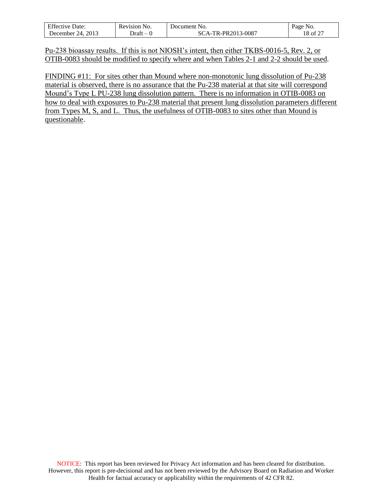| $F^{\alpha}$<br>Jate:<br>Effective. | Revision<br>N <sub>O</sub>        | NO.<br>Document               | Page<br>NO.                |
|-------------------------------------|-----------------------------------|-------------------------------|----------------------------|
| 2013<br>24<br>December              | Jraft<br>$\overline{\phantom{a}}$ | $3 - 0087$<br><b>R-PR2013</b> | of $2^{\tau}$<br>' റ<br>ıο |

Pu-238 bioassay results. If this is not NIOSH's intent, then either TKBS-0016-5, Rev. 2, or OTIB-0083 should be modified to specify where and when Tables 2-1 and 2-2 should be used.

FINDING #11: For sites other than Mound where non-monotonic lung dissolution of Pu-238 material is observed, there is no assurance that the Pu-238 material at that site will correspond Mound's Type L PU-238 lung dissolution pattern. There is no information in OTIB-0083 on how to deal with exposures to Pu-238 material that present lung dissolution parameters different from Types M, S, and L. Thus, the usefulness of OTIB-0083 to sites other than Mound is questionable.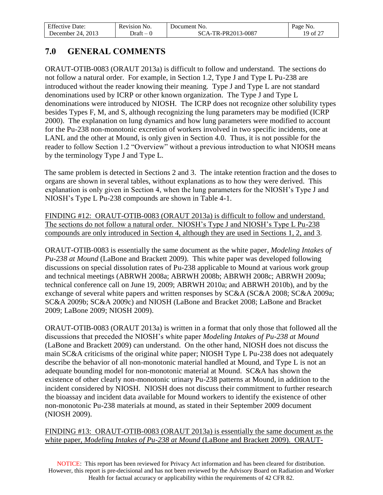| $\Gamma$ $\alpha$<br>Date:<br>Effective | Revision<br>NO. | Document<br>NO.                     | Page<br>N <sub>O</sub>                            |
|-----------------------------------------|-----------------|-------------------------------------|---------------------------------------------------|
| 2013<br>. Jecember<br>$\prime\Delta$    | ⊃rat†           | 3-0087<br>-PR2013-<br>''R-F<br>$-1$ | $\sim$ $\sim$ $\sim$<br>$\cdot$ of $\mathbb{Z}$ . |

## <span id="page-18-0"></span>**7.0 GENERAL COMMENTS**

ORAUT-OTIB-0083 (ORAUT 2013a) is difficult to follow and understand. The sections do not follow a natural order. For example, in Section 1.2, Type J and Type L Pu-238 are introduced without the reader knowing their meaning. Type J and Type L are not standard denominations used by ICRP or other known organization. The Type J and Type L denominations were introduced by NIOSH. The ICRP does not recognize other solubility types besides Types F, M, and S, although recognizing the lung parameters may be modified (ICRP 2000). The explanation on lung dynamics and how lung parameters were modified to account for the Pu-238 non-monotonic excretion of workers involved in two specific incidents, one at LANL and the other at Mound, is only given in Section 4.0. Thus, it is not possible for the reader to follow Section 1.2 "Overview" without a previous introduction to what NIOSH means by the terminology Type J and Type L.

 The same problem is detected in Sections 2 and 3. The intake retention fraction and the doses to organs are shown in several tables, without explanations as to how they were derived. This explanation is only given in Section 4, when the lung parameters for the NIOSH's Type J and NIOSH's Type L Pu-238 compounds are shown in Table 4-1.

FINDING #12: ORAUT-OTIB-0083 (ORAUT 2013a) is difficult to follow and understand. The sections do not follow a natural order. NIOSH's Type J and NIOSH's Type L Pu-238 compounds are only introduced in Section 4, although they are used in Sections 1, 2, and 3.

ORAUT-OTIB-0083 is essentially the same document as the white paper, *Modeling Intakes of Pu-238 at Mound* (LaBone and Brackett 2009). This white paper was developed following discussions on special dissolution rates of Pu-238 applicable to Mound at various work group and technical meetings (ABRWH 2008a; ABRWH 2008b; ABRWH 2008c; ABRWH 2009a; technical conference call on June 19, 2009; ABRWH 2010a; and ABRWH 2010b), and by the exchange of several white papers and written responses by SC&A (SC&A 2008; SC&A 2009a; SC&A 2009b; SC&A 2009c) and NIOSH (LaBone and Bracket 2008; LaBone and Bracket 2009; LaBone 2009; NIOSH 2009).

ORAUT-OTIB-0083 (ORAUT 2013a) is written in a format that only those that followed all the discussions that preceded the NIOSH's white paper *Modeling Intakes of Pu-238 at Mound*  (LaBone and Brackett 2009) can understand. On the other hand, NIOSH does not discuss the main SC&A criticisms of the original white paper; NIOSH Type L Pu-238 does not adequately describe the behavior of all non-monotonic material handled at Mound, and Type L is not an adequate bounding model for non-monotonic material at Mound. SC&A has shown the existence of other clearly non-monotonic urinary Pu-238 patterns at Mound, in addition to the incident considered by NIOSH. NIOSH does not discuss their commitment to further research the bioassay and incident data available for Mound workers to identify the existence of other non-monotonic Pu-238 materials at mound, as stated in their September 2009 document (NIOSH 2009).

FINDING #13: ORAUT-OTIB-0083 (ORAUT 2013a) is essentially the same document as the white paper, *Modeling Intakes of Pu-238 at Mound* (LaBone and Brackett 2009). ORAUT-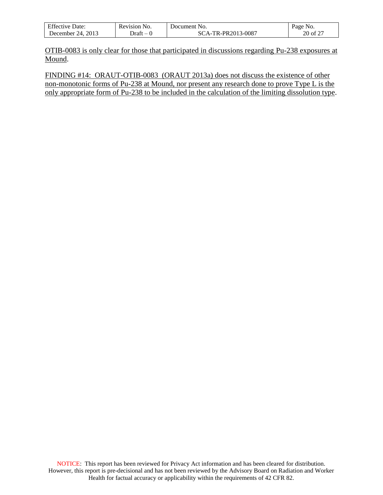| $F^{\alpha}$            | No.      | Document                                                     | Page                                        |
|-------------------------|----------|--------------------------------------------------------------|---------------------------------------------|
| Effective Date:         | Revision | N0.                                                          | NO.                                         |
| 2013<br>24.<br>December | - Jraft  | $3 - 0087$<br>TR-PR2013-<br>$^{\circ}$ $\Delta$ $\mathbf{=}$ | $\sim$ $\sim$ $\sim$<br>$20$ of $2^{\circ}$ |

OTIB-0083 is only clear for those that participated in discussions regarding Pu-238 exposures at Mound.

FINDING #14: ORAUT-OTIB-0083 (ORAUT 2013a) does not discuss the existence of other non-monotonic forms of Pu-238 at Mound, nor present any research done to prove Type L is the only appropriate form of Pu-238 to be included in the calculation of the limiting dissolution type.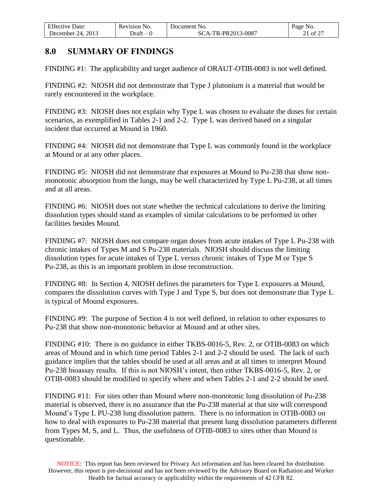| $F^{\alpha}$<br>Jate:<br>tive.<br>-ttect    | Revision<br>NO.                   | 'Jocument No. | Page<br>NO. |
|---------------------------------------------|-----------------------------------|---------------|-------------|
| 2013<br>$^{\prime}$ $^{\prime}$<br>Jecember | Jraft<br>$\overline{\phantom{a}}$ | R-PR2013-0087 | r o o<br>ΩŤ |

### <span id="page-20-0"></span>**8.0 SUMMARY OF FINDINGS**

FINDING #1: The applicability and target audience of ORAUT-OTIB-0083 is not well defined.

FINDING #2: NIOSH did not demonstrate that Type J plutonium is a material that would be rarely encountered in the workplace.

FINDING #3: NIOSH does not explain why Type L was chosen to evaluate the doses for certain scenarios, as exemplified in Tables 2-1 and 2-2. Type L was derived based on a singular incident that occurred at Mound in 1960.

FINDING #4: NIOSH did not demonstrate that Type L was commonly found in the workplace at Mound or at any other places.

FINDING #5: NIOSH did not demonstrate that exposures at Mound to Pu-238 that show nonmonotonic absorption from the lungs, may be well characterized by Type L Pu-238, at all times and at all areas.

FINDING #6: NIOSH does not state whether the technical calculations to derive the limiting dissolution types should stand as examples of similar calculations to be performed in other facilities besides Mound.

FINDING #7: NIOSH does not compare organ doses from acute intakes of Type L Pu-238 with chronic intakes of Types M and S Pu-238 materials. NIOSH should discuss the limiting dissolution types for acute intakes of Type L versus chronic intakes of Type M or Type S Pu-238, as this is an important problem in dose reconstruction.

FINDING #8: In Section 4, NIOSH defines the parameters for Type L exposures at Mound, compares the dissolution curves with Type J and Type S, but does not demonstrate that Type L is typical of Mound exposures.

FINDING #9: The purpose of Section 4 is not well defined, in relation to other exposures to Pu-238 that show non-monotonic behavior at Mound and at other sites.

FINDING #10: There is no guidance in either TKBS-0016-5, Rev. 2, or OTIB-0083 on which areas of Mound and in which time period Tables 2-1 and 2-2 should be used. The lack of such guidance implies that the tables should be used at all areas and at all times to interpret Mound Pu-238 bioassay results. If this is not NIOSH's intent, then either TKBS-0016-5, Rev. 2, or OTIB-0083 should be modified to specify where and when Tables 2-1 and 2-2 should be used.

FINDING #11: For sites other than Mound where non-monotonic lung dissolution of Pu-238 material is observed, there is no assurance that the Pu-238 material at that site will correspond Mound's Type L PU-238 lung dissolution pattern. There is no information in OTIB-0083 on how to deal with exposures to Pu-238 material that present lung dissolution parameters different from Types M, S, and L. Thus, the usefulness of OTIB-0083 to sites other than Mound is questionable.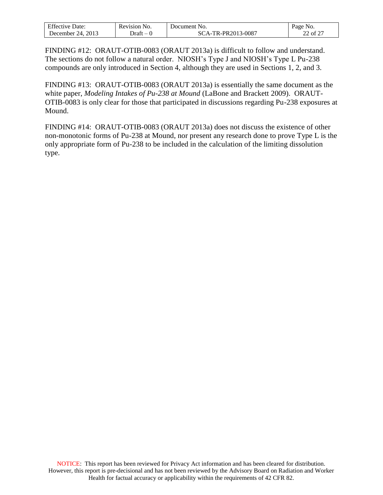| F C<br>Jate:           | N0.<br>Revision                   | Jocument<br>NO.    | Page<br>NO.                             |
|------------------------|-----------------------------------|--------------------|-----------------------------------------|
| 2013<br>14<br>December | Jraft<br>$\overline{\phantom{a}}$ | $3 - 0087$<br>.PR′ | $\sim$ $\sim$ $\sim$<br>ΩŤ<br>,,,,<br>∼ |

FINDING #12: ORAUT-OTIB-0083 (ORAUT 2013a) is difficult to follow and understand. The sections do not follow a natural order. NIOSH's Type J and NIOSH's Type L Pu-238 compounds are only introduced in Section 4, although they are used in Sections 1, 2, and 3.

FINDING #13: ORAUT-OTIB-0083 (ORAUT 2013a) is essentially the same document as the white paper, *Modeling Intakes of Pu-238 at Mound* (LaBone and Brackett 2009). ORAUT-OTIB-0083 is only clear for those that participated in discussions regarding Pu-238 exposures at Mound.

FINDING #14: ORAUT-OTIB-0083 (ORAUT 2013a) does not discuss the existence of other non-monotonic forms of Pu-238 at Mound, nor present any research done to prove Type L is the only appropriate form of Pu-238 to be included in the calculation of the limiting dissolution type.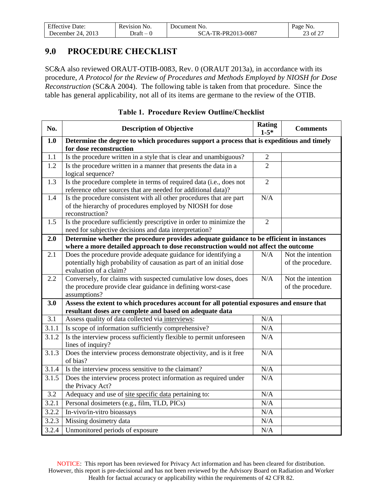| <b>Effective Date:</b>    | Revision<br>NO. | Document No.                  | Page<br>N <sub>0</sub> .              |
|---------------------------|-----------------|-------------------------------|---------------------------------------|
| 2013<br>. Jecember<br>74. | - Jraft         | -TR-PR2013-0087<br>$\Delta$ - | $\sim$ $\sim$ $\sim$<br>of $2$<br>د،∠ |

### <span id="page-22-0"></span>**9.0 PROCEDURE CHECKLIST**

SC&A also reviewed ORAUT-OTIB-0083, Rev. 0 (ORAUT 2013a), in accordance with its procedure, *A Protocol for the Review of Procedures and Methods Employed by NIOSH for Dose Reconstruction* (SC&A 2004). The following table is taken from that procedure. Since the table has general applicability, not all of its items are germane to the review of the OTIB.

| No.                | <b>Description of Objective</b>                                                                                                                                               | <b>Rating</b><br>$1 - 5*$ | <b>Comments</b>                        |  |  |  |
|--------------------|-------------------------------------------------------------------------------------------------------------------------------------------------------------------------------|---------------------------|----------------------------------------|--|--|--|
| 1.0                | Determine the degree to which procedures support a process that is expeditious and timely<br>for dose reconstruction                                                          |                           |                                        |  |  |  |
| 1.1                | Is the procedure written in a style that is clear and unambiguous?                                                                                                            | $\overline{2}$            |                                        |  |  |  |
| 1.2                | Is the procedure written in a manner that presents the data in a<br>logical sequence?                                                                                         | $\overline{2}$            |                                        |  |  |  |
| 1.3                | Is the procedure complete in terms of required data (i.e., does not<br>reference other sources that are needed for additional data)?                                          | $\overline{2}$            |                                        |  |  |  |
| 1.4                | Is the procedure consistent with all other procedures that are part<br>of the hierarchy of procedures employed by NIOSH for dose<br>reconstruction?                           | N/A                       |                                        |  |  |  |
| 1.5                | Is the procedure sufficiently prescriptive in order to minimize the<br>need for subjective decisions and data interpretation?                                                 | $\overline{2}$            |                                        |  |  |  |
| 2.0                | Determine whether the procedure provides adequate guidance to be efficient in instances<br>where a more detailed approach to dose reconstruction would not affect the outcome |                           |                                        |  |  |  |
| 2.1                | Does the procedure provide adequate guidance for identifying a<br>potentially high probability of causation as part of an initial dose<br>evaluation of a claim?              | N/A                       | Not the intention<br>of the procedure. |  |  |  |
| 2.2                | Conversely, for claims with suspected cumulative low doses, does<br>the procedure provide clear guidance in defining worst-case<br>assumptions?                               | N/A                       | Not the intention<br>of the procedure. |  |  |  |
| 3.0                | Assess the extent to which procedures account for all potential exposures and ensure that<br>resultant doses are complete and based on adequate data                          |                           |                                        |  |  |  |
| 3.1                | Assess quality of data collected via interviews:                                                                                                                              | N/A                       |                                        |  |  |  |
| 3.1.1              | Is scope of information sufficiently comprehensive?                                                                                                                           | N/A                       |                                        |  |  |  |
| 3.1.2              | Is the interview process sufficiently flexible to permit unforeseen<br>lines of inquiry?                                                                                      | N/A                       |                                        |  |  |  |
| 3.1.3              | Does the interview process demonstrate objectivity, and is it free<br>of bias?                                                                                                | N/A                       |                                        |  |  |  |
| 3.1.4              | Is the interview process sensitive to the claimant?                                                                                                                           | N/A                       |                                        |  |  |  |
| $\overline{3.1.5}$ | Does the interview process protect information as required under<br>the Privacy Act?                                                                                          | N/A                       |                                        |  |  |  |
| 3.2                | Adequacy and use of site specific data pertaining to:                                                                                                                         | N/A                       |                                        |  |  |  |
| 3.2.1              | Personal dosimeters (e.g., film, TLD, PICs)                                                                                                                                   | N/A                       |                                        |  |  |  |
| 3.2.2              | In-vivo/in-vitro bioassays                                                                                                                                                    | N/A                       |                                        |  |  |  |
| 3.2.3              | Missing dosimetry data                                                                                                                                                        | N/A                       |                                        |  |  |  |
| 3.2.4              | Unmonitored periods of exposure                                                                                                                                               | N/A                       |                                        |  |  |  |

#### **Table 1. Procedure Review Outline/Checklist**

NOTICE: This report has been reviewed for Privacy Act information and has been cleared for distribution. However, this report is pre-decisional and has not been reviewed by the Advisory Board on Radiation and Worker Health for factual accuracy or applicability within the requirements of 42 CFR 82.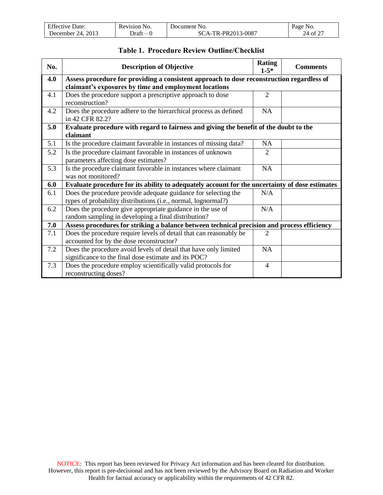| $F^{\alpha}$              | NO.      | Jocument          | NO.  |
|---------------------------|----------|-------------------|------|
| Effective Date:           | Revision | * No.             | Page |
| 2013<br>24.<br>December ، | - Draft  | A-TR-PR2013-0087: | ΟĪ   |

| <b>Table 1. Procedure Review Outline/Checklist</b> |
|----------------------------------------------------|
|----------------------------------------------------|

| No. | <b>Description of Objective</b>                                                                |                | <b>Comments</b> |  |  |  |
|-----|------------------------------------------------------------------------------------------------|----------------|-----------------|--|--|--|
| 4.0 | Assess procedure for providing a consistent approach to dose reconstruction regardless of      |                |                 |  |  |  |
|     | claimant's exposures by time and employment locations                                          |                |                 |  |  |  |
| 4.1 | Does the procedure support a prescriptive approach to dose                                     | $\overline{2}$ |                 |  |  |  |
|     | reconstruction?                                                                                |                |                 |  |  |  |
| 4.2 | Does the procedure adhere to the hierarchical process as defined                               | NA             |                 |  |  |  |
|     | in 42 CFR 82.2?                                                                                |                |                 |  |  |  |
| 5.0 | Evaluate procedure with regard to fairness and giving the benefit of the doubt to the          |                |                 |  |  |  |
|     | claimant                                                                                       |                |                 |  |  |  |
| 5.1 | Is the procedure claimant favorable in instances of missing data?                              | <b>NA</b>      |                 |  |  |  |
| 5.2 | Is the procedure claimant favorable in instances of unknown                                    | $\overline{2}$ |                 |  |  |  |
|     | parameters affecting dose estimates?                                                           |                |                 |  |  |  |
| 5.3 | Is the procedure claimant favorable in instances where claimant                                | <b>NA</b>      |                 |  |  |  |
|     | was not monitored?                                                                             |                |                 |  |  |  |
| 6.0 | Evaluate procedure for its ability to adequately account for the uncertainty of dose estimates |                |                 |  |  |  |
| 6.1 | Does the procedure provide adequate guidance for selecting the                                 | N/A            |                 |  |  |  |
|     | types of probability distributions (i.e., normal, lognormal?)                                  |                |                 |  |  |  |
| 6.2 | Does the procedure give appropriate guidance in the use of                                     | N/A            |                 |  |  |  |
|     | random sampling in developing a final distribution?                                            |                |                 |  |  |  |
| 7.0 | Assess procedures for striking a balance between technical precision and process efficiency    |                |                 |  |  |  |
| 7.1 | Does the procedure require levels of detail that can reasonably be                             | 2              |                 |  |  |  |
|     | accounted for by the dose reconstructor?                                                       |                |                 |  |  |  |
| 7.2 | Does the procedure avoid levels of detail that have only limited                               | NA             |                 |  |  |  |
|     | significance to the final dose estimate and its POC?                                           |                |                 |  |  |  |
| 7.3 | Does the procedure employ scientifically valid protocols for                                   | $\overline{4}$ |                 |  |  |  |
|     | reconstructing doses?                                                                          |                |                 |  |  |  |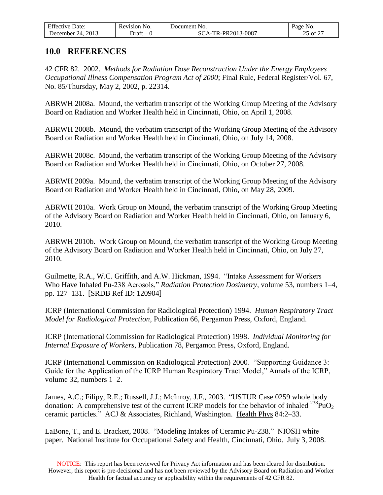| $F^{\alpha}$              | NO.      | Document          | NO.                        |
|---------------------------|----------|-------------------|----------------------------|
| Effective Date:           | Revision | * No.             | Page                       |
| 2013<br>24.<br>December ، | - Draft  | A-TR-PR2013-0087: | $\sim$ $\sim$ $\sim$<br>ΟÌ |

#### <span id="page-24-0"></span>**10.0 REFERENCES**

42 CFR 82. 2002. *Methods for Radiation Dose Reconstruction Under the Energy Employees Occupational Illness Compensation Program Act of 2000*; Final Rule, Federal Register/Vol. 67, No. 85/Thursday, May 2, 2002, p. 22314.

ABRWH 2008a. Mound, the verbatim transcript of the Working Group Meeting of the Advisory Board on Radiation and Worker Health held in Cincinnati, Ohio, on April 1, 2008.

ABRWH 2008b. Mound, the verbatim transcript of the Working Group Meeting of the Advisory Board on Radiation and Worker Health held in Cincinnati, Ohio, on July 14, 2008.

ABRWH 2008c. Mound, the verbatim transcript of the Working Group Meeting of the Advisory Board on Radiation and Worker Health held in Cincinnati, Ohio, on October 27, 2008.

ABRWH 2009a. Mound, the verbatim transcript of the Working Group Meeting of the Advisory Board on Radiation and Worker Health held in Cincinnati, Ohio, on May 28, 2009.

ABRWH 2010a. Work Group on Mound, the verbatim transcript of the Working Group Meeting of the Advisory Board on Radiation and Worker Health held in Cincinnati, Ohio, on January 6, 2010.

ABRWH 2010b. Work Group on Mound, the verbatim transcript of the Working Group Meeting of the Advisory Board on Radiation and Worker Health held in Cincinnati, Ohio, on July 27, 2010.

Guilmette, R.A., W.C. Griffith, and A.W. Hickman, 1994. "Intake Assessment for Workers Who Have Inhaled Pu-238 Aerosols," *Radiation Protection Dosimetry*, volume 53, numbers 1–4, pp. 127–131. [SRDB Ref ID: 120904]

ICRP (International Commission for Radiological Protection) 1994. *Human Respiratory Tract Model for Radiological Protection*, Publication 66, Pergamon Press, Oxford, England.

ICRP (International Commission for Radiological Protection) 1998. *Individual Monitoring for Internal Exposure of Workers*, Publication 78, Pergamon Press, Oxford, England.

ICRP (International Commission on Radiological Protection) 2000. "Supporting Guidance 3: Guide for the Application of the ICRP Human Respiratory Tract Model," Annals of the ICRP, volume 32, numbers 1–2.

James, A.C.; Filipy, R.E.; Russell, J.J.; McInroy, J.F., 2003. "USTUR Case 0259 whole body donation: A comprehensive test of the current ICRP models for the behavior of inhaled  $^{238}PuO<sub>2</sub>$ ceramic particles." ACJ & Associates, Richland, Washington. Health Phys 84:2–33.

LaBone, T., and E. Brackett, 2008. "Modeling Intakes of Ceramic Pu-238." NIOSH white paper. National Institute for Occupational Safety and Health, Cincinnati, Ohio. July 3, 2008.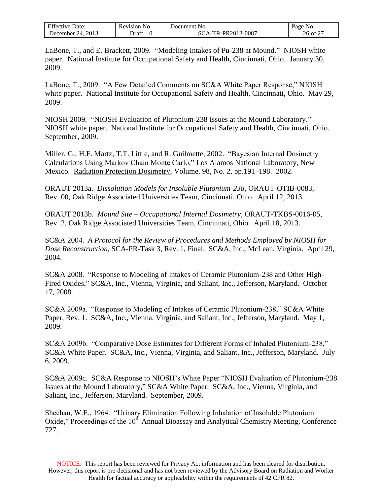| $F^{\alpha}$<br>Jate:<br>Affective : | r<br>Revision<br>NO.              | Jocument<br>N <sub>O</sub> . | N <sub>O</sub><br>Page            |
|--------------------------------------|-----------------------------------|------------------------------|-----------------------------------|
| 2013<br>14<br>Jecember               | ⊃raf†<br>$\overline{\phantom{a}}$ | -PR2013-0087<br>TR.          | $\sim$ $\sim$ $\sim$<br>ΩT<br>26. |

LaBone, T., and E. Brackett, 2009. "Modeling Intakes of Pu-238 at Mound." NIOSH white paper. National Institute for Occupational Safety and Health, Cincinnati, Ohio. January 30, 2009.

LaBone, T., 2009. "A Few Detailed Comments on SC&A White Paper Response," NIOSH white paper. National Institute for Occupational Safety and Health, Cincinnati, Ohio. May 29, 2009.

NIOSH 2009. "NIOSH Evaluation of Plutonium-238 Issues at the Mound Laboratory." NIOSH white paper. National Institute for Occupational Safety and Health, Cincinnati, Ohio. September, 2009.

Miller, G., H.F. Martz, T.T. Little, and R. Guilmette, 2002. "Bayesian Internal Dosimetry Calculations Using Markov Chain Monte Carlo," Los Alamos National Laboratory, New Mexico. Radiation Protection Dosimetry, Volume. 98, No. 2, pp.191–198. 2002.

ORAUT 2013a. *Dissolution Models for Insoluble Plutonium-238*, ORAUT-OTIB-0083, Rev. 00, Oak Ridge Associated Universities Team, Cincinnati, Ohio. April 12, 2013.

ORAUT 2013b. *Mound Site – Occupational Internal Dosimetry*, ORAUT-TKBS-0016-05, Rev. 2, Oak Ridge Associated Universities Team, Cincinnati, Ohio. April 18, 2013.

SC&A 2004. *A Protocol for the Review of Procedures and Methods Employed by NIOSH for Dose Reconstruction*, SCA-PR-Task 3, Rev. 1, Final. SC&A, Inc., McLean, Virginia. April 29, 2004.

SC&A 2008. "Response to Modeling of Intakes of Ceramic Plutonium-238 and Other High-Fired Oxides," SC&A, Inc., Vienna, Virginia, and Saliant, Inc., Jefferson, Maryland. October 17, 2008.

SC&A 2009a. "Response to Modeling of Intakes of Ceramic Plutonium-238," SC&A White Paper, Rev. 1. SC&A, Inc., Vienna, Virginia, and Saliant, Inc., Jefferson, Maryland. May 1, 2009.

SC&A 2009b. "Comparative Dose Estimates for Different Forms of Inhaled Plutonium-238," SC&A White Paper. SC&A, Inc., Vienna, Virginia, and Saliant, Inc., Jefferson, Maryland. July 6, 2009.

SC&A 2009c. SC&A Response to NIOSH's White Paper "NIOSH Evaluation of Plutonium-238 Issues at the Mound Laboratory," SC&A White Paper. SC&A, Inc., Vienna, Virginia, and Saliant, Inc., Jefferson, Maryland. September, 2009.

Sheehan, W.E., 1964. "Urinary Elimination Following Inhalation of Insoluble Plutonium Oxide," Proceedings of the 10<sup>th</sup> Annual Bioassay and Analytical Chemistry Meeting, Conference 727.